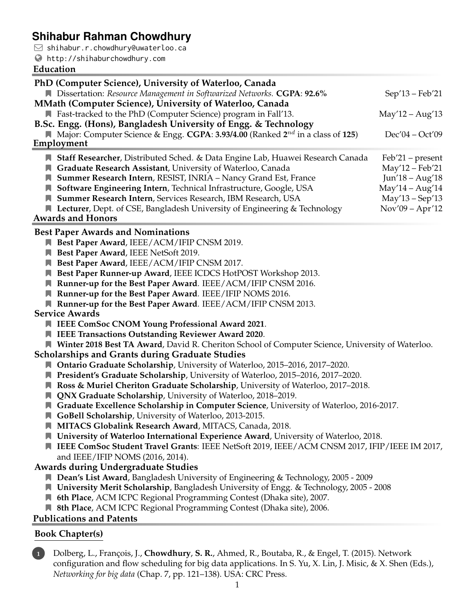# **Shihabur Rahman Chowdhury**

 $\Box$  shihabur.r.chowdhury@uwaterloo.ca

<http://shihaburchowdhury.com>

#### **Education**

| PhD (Computer Science), University of Waterloo, Canada                                                  |                    |
|---------------------------------------------------------------------------------------------------------|--------------------|
| Dissertation: Resource Management in Softwarized Networks. CGPA: 92.6%                                  | $Sep'13-Feb'21$    |
| MMath (Computer Science), University of Waterloo, Canada                                                |                    |
| ■ Fast-tracked to the PhD (Computer Science) program in Fall'13.                                        | $May'12 - Aug'13$  |
| B.Sc. Engg. (Hons), Bangladesh University of Engg. & Technology                                         |                    |
| <b>N</b> Major: Computer Science & Engg. CGPA: 3.93/4.00 (Ranked $2^{nd}$ in a class of 125)            | $Dec'04 - Oct'09$  |
| Employment                                                                                              |                    |
|                                                                                                         |                    |
| Staff Researcher, Distributed Sched. & Data Engine Lab, Huawei Research Canada                          | $Feb'21 - present$ |
| <b>A</b> Graduate Research Assistant, University of Waterloo, Canada                                    | May'12 - Feb'21    |
| <b>N</b> Summer Research Intern, RESIST, INRIA - Nancy Grand Est, France                                | Jun'18 – Aug'18    |
| Software Engineering Intern, Technical Infrastructure, Google, USA                                      | $May'14 - Aug'14$  |
| Summer Research Intern, Services Research, IBM Research, USA                                            | $May'13 - Sep'13$  |
| ■ Lecturer, Dept. of CSE, Bangladesh University of Engineering & Technology<br><b>Awards and Honors</b> | $Nov'09 - Apr'12$  |

#### **Best Paper Awards and Nominations**

- **Best Paper Award**, IEEE/ACM/IFIP CNSM 2019.
- **Best Paper Award**, IEEE NetSoft 2019.
- **Best Paper Award**, IEEE/ACM/IFIP CNSM 2017.
- **Best Paper Runner-up Award**, IEEE ICDCS HotPOST Workshop 2013.
- **Runner-up for the Best Paper Award**. IEEE/ACM/IFIP CNSM 2016.
- **Runner-up for the Best Paper Award**. IEEE/IFIP NOMS 2016.
- **Runner-up for the Best Paper Award**. IEEE/ACM/IFIP CNSM 2013.

#### **Service Awards**

- **IEEE ComSoc CNOM Young Professional Award 2021**.
- **IEEE Transactions Outstanding Reviewer Award 2020**.

**Winter 2018 Best TA Award**, David R. Cheriton School of Computer Science, University of Waterloo.

#### **Scholarships and Grants during Graduate Studies**

- **Ontario Graduate Scholarship**, University of Waterloo, 2015–2016, 2017–2020.
- **President's Graduate Scholarship**, University of Waterloo, 2015–2016, 2017–2020.
- **Ross & Muriel Cheriton Graduate Scholarship**, University of Waterloo, 2017–2018.
- **QNX Graduate Scholarship**, University of Waterloo, 2018–2019.
- **Graduate Excellence Scholarship in Computer Science**, University of Waterloo, 2016-2017.
- **GoBell Scholarship**, University of Waterloo, 2013-2015.
- **MITACS Globalink Research Award**, MITACS, Canada, 2018.
- **University of Waterloo International Experience Award**, University of Waterloo, 2018.
- **IEEE ComSoc Student Travel Grants**: IEEE NetSoft 2019, IEEE/ACM CNSM 2017, IFIP/IEEE IM 2017, and IEEE/IFIP NOMS (2016, 2014).

#### **Awards during Undergraduate Studies**

- **Dean's List Award**, Bangladesh University of Engineering & Technology, 2005 2009
- **University Merit Scholarship**, Bangladesh University of Engg. & Technology, 2005 2008
- **6th Place**, ACM ICPC Regional Programming Contest (Dhaka site), 2007.
- 8th Place, ACM ICPC Regional Programming Contest (Dhaka site), 2006.

#### **Publications and Patents**

## **Book Chapter(s)**

**1** Dolberg, L., François, J., **Chowdhury**, **S. R.**, Ahmed, R., Boutaba, R., & Engel, T. (2015). Network configuration and flow scheduling for big data applications. In S. Yu, X. Lin, J. Misic, & X. Shen (Eds.), *Networking for big data* (Chap. 7, pp. 121–138). USA: CRC Press.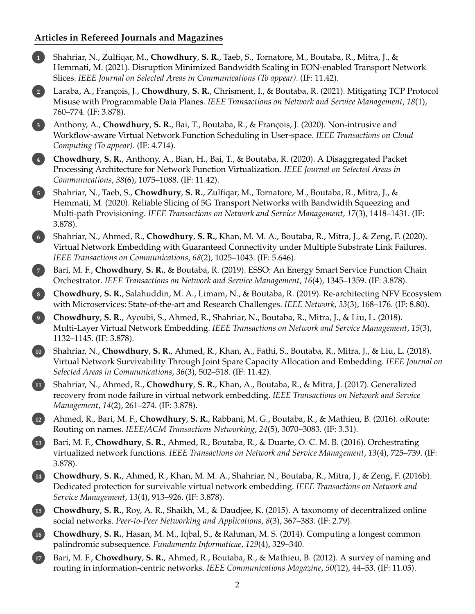## **Articles in Refereed Journals and Magazines**

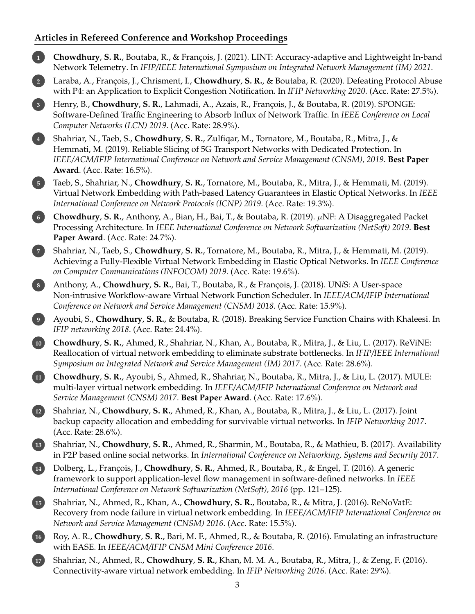## **Articles in Refereed Conference and Workshop Proceedings**

**1 Chowdhury**, **S. R.**, Boutaba, R., & François, J. (2021). LINT: Accuracy-adaptive and Lightweight In-band Network Telemetry. In *IFIP/IEEE International Symposium on Integrated Network Management (IM) 2021*. **2** Laraba, A., François, J., Chrisment, I., **Chowdhury**, **S. R.**, & Boutaba, R. (2020). Defeating Protocol Abuse with P4: an Application to Explicit Congestion Notification. In *IFIP Networking 2020*. (Acc. Rate: 27.5%). **3** Henry, B., **Chowdhury**, **S. R.**, Lahmadi, A., Azais, R., François, J., & Boutaba, R. (2019). SPONGE: Software-Defined Traffic Engineering to Absorb Influx of Network Traffic. In *IEEE Conference on Local Computer Networks (LCN) 2019*. (Acc. Rate: 28.9%). **4** Shahriar, N., Taeb, S., **Chowdhury**, **S. R.**, Zulfiqar, M., Tornatore, M., Boutaba, R., Mitra, J., & Hemmati, M. (2019). Reliable Slicing of 5G Transport Networks with Dedicated Protection. In *IEEE/ACM/IFIP International Conference on Network and Service Management (CNSM), 2019*. **Best Paper Award**. (Acc. Rate: 16.5%). **5** Taeb, S., Shahriar, N., **Chowdhury**, **S. R.**, Tornatore, M., Boutaba, R., Mitra, J., & Hemmati, M. (2019). Virtual Network Embedding with Path-based Latency Guarantees in Elastic Optical Networks. In *IEEE International Conference on Network Protocols (ICNP) 2019*. (Acc. Rate: 19.3%). **<sup>6</sup> Chowdhury**, **S. R.**, Anthony, A., Bian, H., Bai, T., & Boutaba, R. (2019). µNF: A Disaggregated Packet Processing Architecture. In *IEEE International Conference on Network Softwarization (NetSoft) 2019*. **Best Paper Award**. (Acc. Rate: 24.7%). **7** Shahriar, N., Taeb, S., **Chowdhury**, **S. R.**, Tornatore, M., Boutaba, R., Mitra, J., & Hemmati, M. (2019). Achieving a Fully-Flexible Virtual Network Embedding in Elastic Optical Networks. In *IEEE Conference on Computer Communications (INFOCOM) 2019*. (Acc. Rate: 19.6%). **8** Anthony, A., **Chowdhury**, **S. R.**, Bai, T., Boutaba, R., & François, J. (2018). UN*i*S: A User-space Non-intrusive Workflow-aware Virtual Network Function Scheduler. In *IEEE/ACM/IFIP International Conference on Network and Service Management (CNSM) 2018*. (Acc. Rate: 15.9%). **9** Ayoubi, S., **Chowdhury**, **S. R.**, & Boutaba, R. (2018). Breaking Service Function Chains with Khaleesi. In *IFIP networking 2018*. (Acc. Rate: 24.4%). **10 Chowdhury**, **S. R.**, Ahmed, R., Shahriar, N., Khan, A., Boutaba, R., Mitra, J., & Liu, L. (2017). ReViNE: Reallocation of virtual network embedding to eliminate substrate bottlenecks. In *IFIP/IEEE International Symposium on Integrated Network and Service Management (IM) 2017*. (Acc. Rate: 28.6%). **11 Chowdhury**, **S. R.**, Ayoubi, S., Ahmed, R., Shahriar, N., Boutaba, R., Mitra, J., & Liu, L. (2017). MULE: multi-layer virtual network embedding. In *IEEE/ACM/IFIP International Conference on Network and Service Management (CNSM) 2017*. **Best Paper Award**. (Acc. Rate: 17.6%). **12** Shahriar, N., **Chowdhury**, **S. R.**, Ahmed, R., Khan, A., Boutaba, R., Mitra, J., & Liu, L. (2017). Joint backup capacity allocation and embedding for survivable virtual networks. In *IFIP Networking 2017*. (Acc. Rate: 28.6%). **13** Shahriar, N., **Chowdhury**, **S. R.**, Ahmed, R., Sharmin, M., Boutaba, R., & Mathieu, B. (2017). Availability in P2P based online social networks. In *International Conference on Networking, Systems and Security 2017*. **14** Dolberg, L., François, J., **Chowdhury**, **S. R.**, Ahmed, R., Boutaba, R., & Engel, T. (2016). A generic framework to support application-level flow management in software-defined networks. In *IEEE International Conference on Network Softwarization (NetSoft), 2016* (pp. 121–125). **15** Shahriar, N., Ahmed, R., Khan, A., **Chowdhury**, **S. R.**, Boutaba, R., & Mitra, J. (2016). ReNoVatE: Recovery from node failure in virtual network embedding. In *IEEE/ACM/IFIP International Conference on Network and Service Management (CNSM) 2016*. (Acc. Rate: 15.5%). **16** Roy, A. R., **Chowdhury**, **S. R.**, Bari, M. F., Ahmed, R., & Boutaba, R. (2016). Emulating an infrastructure with EASE. In *IEEE/ACM/IFIP CNSM Mini Conference 2016*. **17** Shahriar, N., Ahmed, R., **Chowdhury**, **S. R.**, Khan, M. M. A., Boutaba, R., Mitra, J., & Zeng, F. (2016). Connectivity-aware virtual network embedding. In *IFIP Networking 2016*. (Acc. Rate: 29%).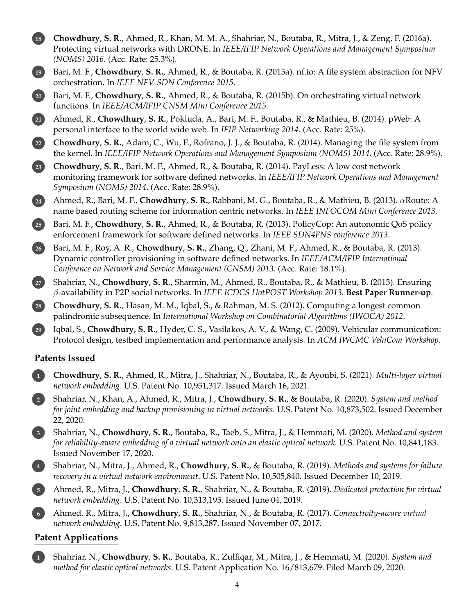

**3** Shahriar, N., **Chowdhury**, **S. R.**, Boutaba, R., Taeb, S., Mitra, J., & Hemmati, M. (2020). *Method and system for reliability-aware embedding of a virtual network onto an elastic optical network*. U.S. Patent No. 10,841,183. Issued November 17, 2020.

**4** Shahriar, N., Mitra, J., Ahmed, R., **Chowdhury**, **S. R.**, & Boutaba, R. (2019). *Methods and systems for failure recovery in a virtual network environment*. U.S. Patent No. 10,505,840. Issued December 10, 2019.

**5** Ahmed, R., Mitra, J., **Chowdhury**, **S. R.**, Shahriar, N., & Boutaba, R. (2019). *Dedicated protection for virtual network embedding*. U.S. Patent No. 10,313,195. Issued June 04, 2019.

**6** Ahmed, R., Mitra, J., **Chowdhury**, **S. R.**, Shahriar, N., & Boutaba, R. (2017). *Connectivity-aware virtual network embedding*. U.S. Patent No. 9,813,287. Issued November 07, 2017.

#### **Patent Applications**

**1** Shahriar, N., **Chowdhury**, **S. R.**, Boutaba, R., Zulfiqar, M., Mitra, J., & Hemmati, M. (2020). *System and method for elastic optical networks*. U.S. Patent Application No. 16/813,679. Filed March 09, 2020.